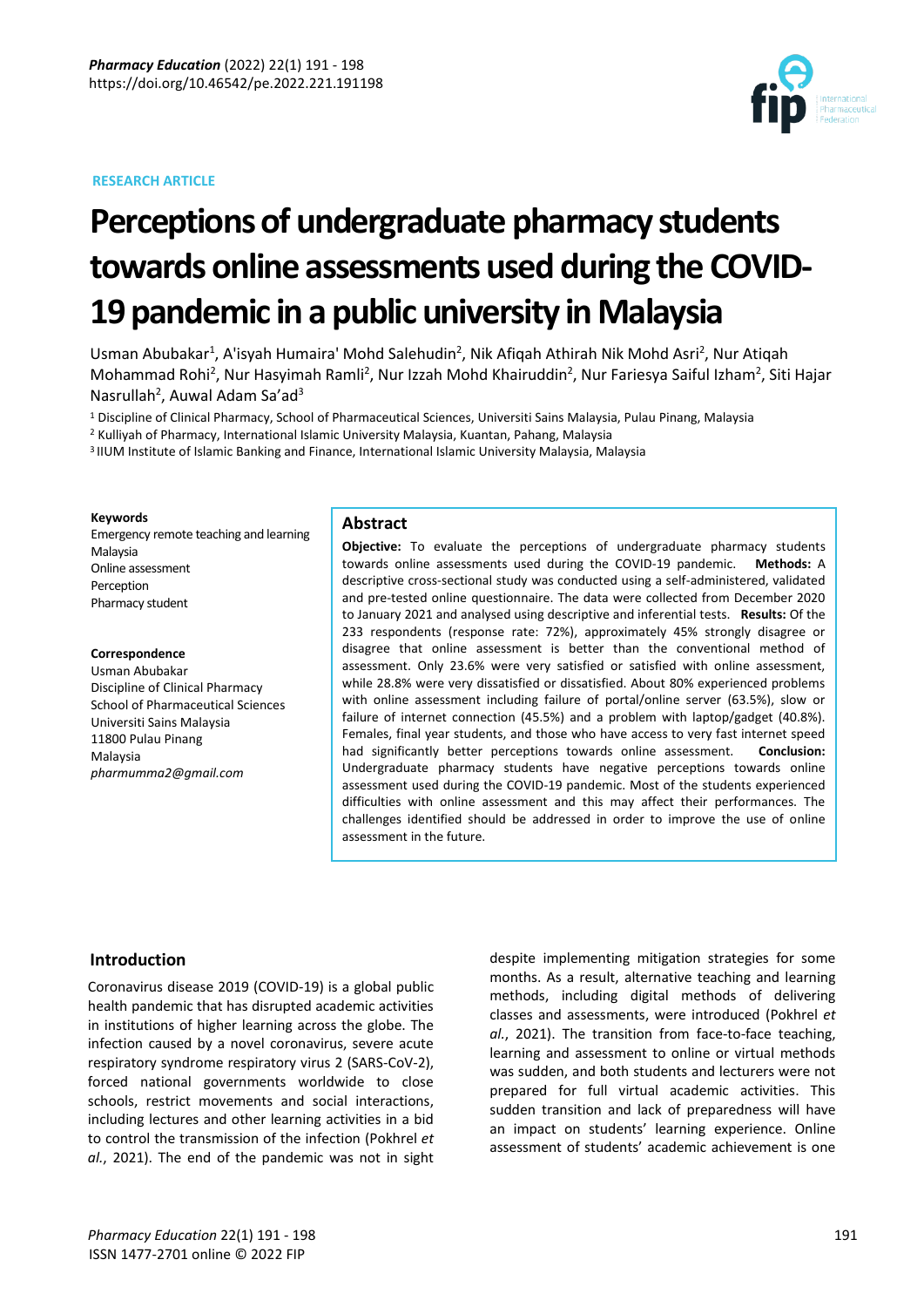### **RESEARCH ARTICLE**



# **Perceptions of undergraduate pharmacy students towards online assessments used during the COVID-19 pandemic in a public university in Malaysia**

Usman Abubakar<sup>1</sup>, A'isyah Humaira' Mohd Salehudin<sup>2</sup>, Nik Afiqah Athirah Nik Mohd Asri<sup>2</sup>, Nur Atiqah Mohammad Rohi<sup>2</sup>, Nur Hasyimah Ramli<sup>2</sup>, Nur Izzah Mohd Khairuddin<sup>2</sup>, Nur Fariesya Saiful Izham<sup>2</sup>, Siti Hajar Nasrullah<sup>2</sup>, Auwal Adam Sa'ad<sup>3</sup>

<sup>1</sup> Discipline of Clinical Pharmacy, School of Pharmaceutical Sciences, Universiti Sains Malaysia, Pulau Pinang, Malaysia

<sup>2</sup> Kulliyah of Pharmacy, International Islamic University Malaysia, Kuantan, Pahang, Malaysia

3 IIUM Institute of Islamic Banking and Finance, International Islamic University Malaysia, Malaysia

#### **Keywords**

Emergency remote teaching and learning Malaysia Online assessment Perception Pharmacy student

# **Correspondence**

Usman Abubakar Discipline of Clinical Pharmacy School of Pharmaceutical Sciences Universiti Sains Malaysia 11800 Pulau Pinang Malaysia *pharmumma2@gmail.com*

### **Abstract**

**Objective:** To evaluate the perceptions of undergraduate pharmacy students towards online assessments used during the COVID-19 pandemic. **Methods:** A descriptive cross-sectional study was conducted using a self-administered, validated and pre-tested online questionnaire. The data were collected from December 2020 to January 2021 and analysed using descriptive and inferential tests. **Results:** Of the 233 respondents (response rate: 72%), approximately 45% strongly disagree or disagree that online assessment is better than the conventional method of assessment. Only 23.6% were very satisfied or satisfied with online assessment, while 28.8% were very dissatisfied or dissatisfied. About 80% experienced problems with online assessment including failure of portal/online server (63.5%), slow or failure of internet connection (45.5%) and a problem with laptop/gadget (40.8%). Females, final year students, and those who have access to very fast internet speed had significantly better perceptions towards online assessment. **Conclusion:**  Undergraduate pharmacy students have negative perceptions towards online assessment used during the COVID-19 pandemic. Most of the students experienced difficulties with online assessment and this may affect their performances. The challenges identified should be addressed in order to improve the use of online assessment in the future.

# **Introduction**

Coronavirus disease 2019 (COVID-19) is a global public health pandemic that has disrupted academic activities in institutions of higher learning across the globe. The infection caused by a novel coronavirus, severe acute respiratory syndrome respiratory virus 2 (SARS-CoV-2), forced national governments worldwide to close schools, restrict movements and social interactions, including lectures and other learning activities in a bid to control the transmission of the infection (Pokhrel *et al.*, 2021). The end of the pandemic was not in sight despite implementing mitigation strategies for some months. As a result, alternative teaching and learning methods, including digital methods of delivering classes and assessments, were introduced (Pokhrel *et al.*, 2021). The transition from face-to-face teaching, learning and assessment to online or virtual methods was sudden, and both students and lecturers were not prepared for full virtual academic activities. This sudden transition and lack of preparedness will have an impact on students' learning experience. Online assessment of students' academic achievement is one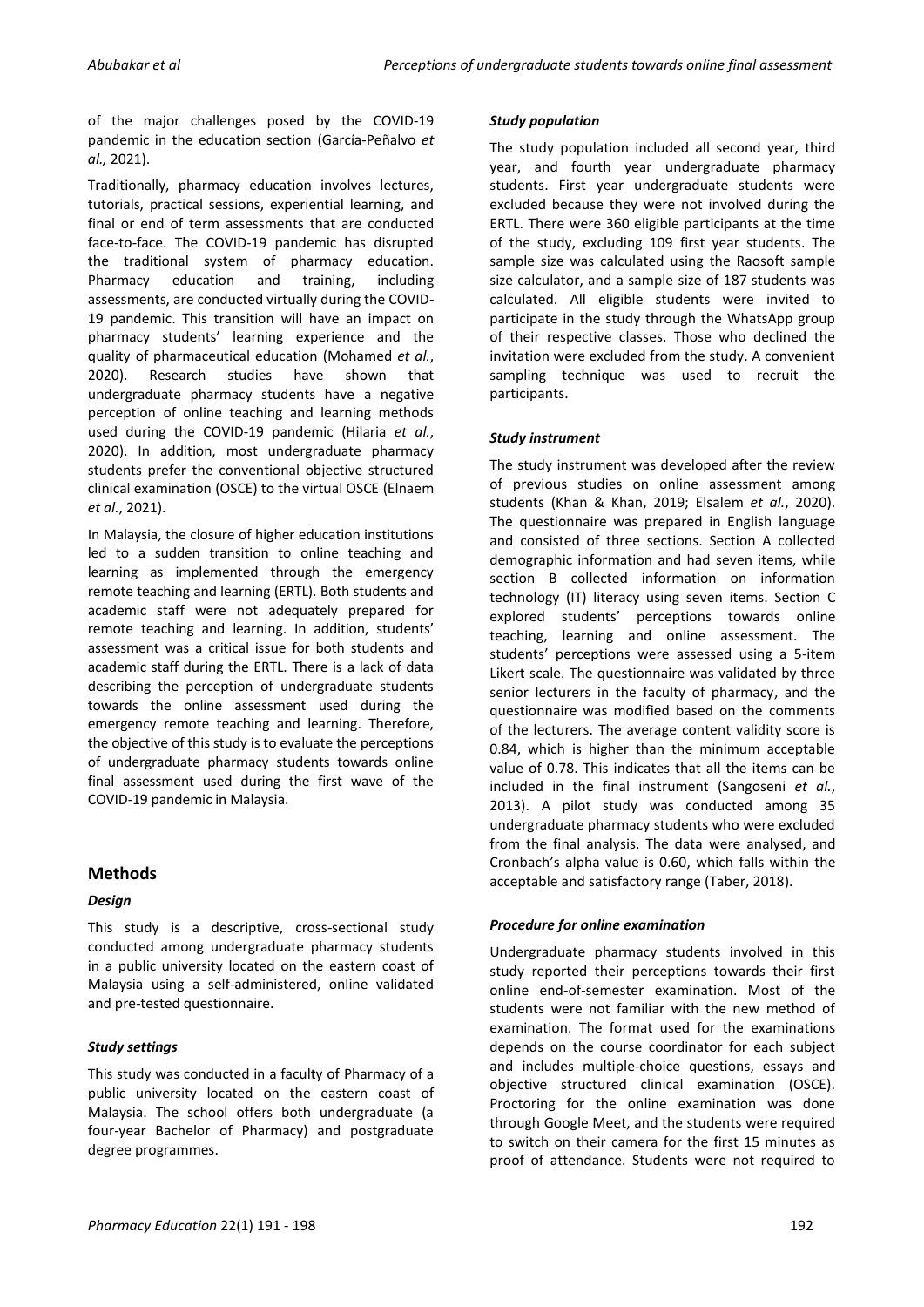of the major challenges posed by the COVID-19 pandemic in the education section (García-Peñalvo *et al.,* 2021).

Traditionally, pharmacy education involves lectures, tutorials, practical sessions, experiential learning, and final or end of term assessments that are conducted face-to-face. The COVID-19 pandemic has disrupted the traditional system of pharmacy education.<br>Pharmacy education and training, including Pharmacy education and training, including assessments, are conducted virtually during the COVID-19 pandemic. This transition will have an impact on pharmacy students' learning experience and the quality of pharmaceutical education (Mohamed *et al.*, 2020). Research studies have shown that undergraduate pharmacy students have a negative perception of online teaching and learning methods used during the COVID-19 pandemic (Hilaria *et al.*, 2020). In addition, most undergraduate pharmacy students prefer the conventional objective structured clinical examination (OSCE) to the virtual OSCE (Elnaem *et al.*, 2021).

In Malaysia, the closure of higher education institutions led to a sudden transition to online teaching and learning as implemented through the emergency remote teaching and learning (ERTL). Both students and academic staff were not adequately prepared for remote teaching and learning. In addition, students' assessment was a critical issue for both students and academic staff during the ERTL. There is a lack of data describing the perception of undergraduate students towards the online assessment used during the emergency remote teaching and learning. Therefore, the objective of this study is to evaluate the perceptions of undergraduate pharmacy students towards online final assessment used during the first wave of the COVID-19 pandemic in Malaysia.

# **Methods**

# *Design*

This study is a descriptive, cross-sectional study conducted among undergraduate pharmacy students in a public university located on the eastern coast of Malaysia using a self-administered, online validated and pre-tested questionnaire.

# *Study settings*

This study was conducted in a faculty of Pharmacy of a public university located on the eastern coast of Malaysia. The school offers both undergraduate (a four-year Bachelor of Pharmacy) and postgraduate degree programmes.

#### *Study population*

The study population included all second year, third year, and fourth year undergraduate pharmacy students. First year undergraduate students were excluded because they were not involved during the ERTL. There were 360 eligible participants at the time of the study, excluding 109 first year students. The sample size was calculated using the Raosoft sample size calculator, and a sample size of 187 students was calculated. All eligible students were invited to participate in the study through the WhatsApp group of their respective classes. Those who declined the invitation were excluded from the study. A convenient sampling technique was used to recruit the participants.

#### *Study instrument*

The study instrument was developed after the review of previous studies on online assessment among students (Khan & Khan, 2019; Elsalem *et al.*, 2020). The questionnaire was prepared in English language and consisted of three sections. Section A collected demographic information and had seven items, while section B collected information on information technology (IT) literacy using seven items. Section C explored students' perceptions towards online teaching, learning and online assessment. The students' perceptions were assessed using a 5-item Likert scale. The questionnaire was validated by three senior lecturers in the faculty of pharmacy, and the questionnaire was modified based on the comments of the lecturers. The average content validity score is 0.84, which is higher than the minimum acceptable value of 0.78. This indicates that all the items can be included in the final instrument (Sangoseni *et al.*, 2013). A pilot study was conducted among 35 undergraduate pharmacy students who were excluded from the final analysis. The data were analysed, and Cronbach's alpha value is 0.60, which falls within the acceptable and satisfactory range (Taber, 2018).

#### *Procedure for online examination*

Undergraduate pharmacy students involved in this study reported their perceptions towards their first online end-of-semester examination. Most of the students were not familiar with the new method of examination. The format used for the examinations depends on the course coordinator for each subject and includes multiple-choice questions, essays and objective structured clinical examination (OSCE). Proctoring for the online examination was done through Google Meet, and the students were required to switch on their camera for the first 15 minutes as proof of attendance. Students were not required to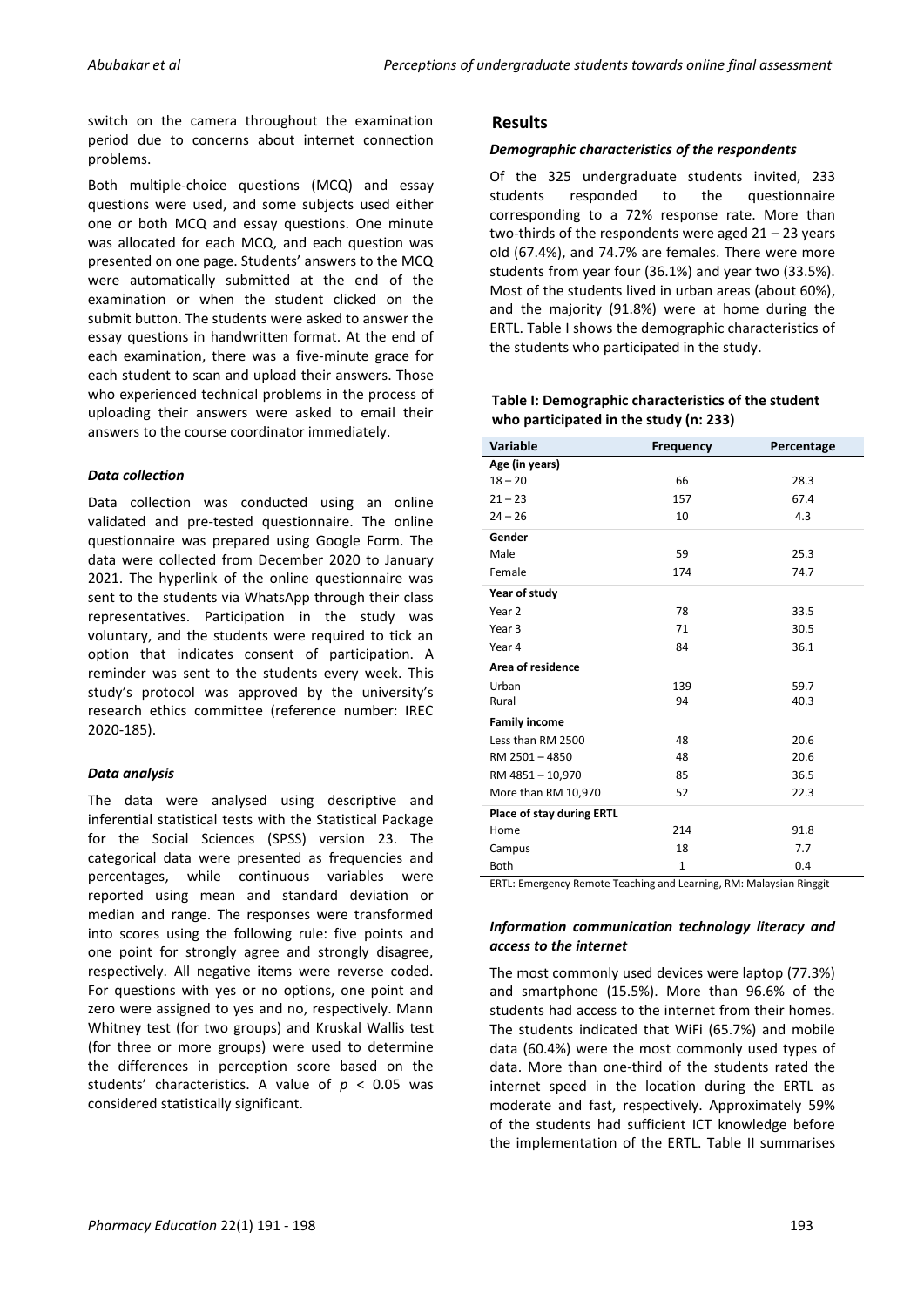switch on the camera throughout the examination period due to concerns about internet connection problems.

Both multiple-choice questions (MCQ) and essay questions were used, and some subjects used either one or both MCQ and essay questions. One minute was allocated for each MCQ, and each question was presented on one page. Students' answers to the MCQ were automatically submitted at the end of the examination or when the student clicked on the submit button. The students were asked to answer the essay questions in handwritten format. At the end of each examination, there was a five-minute grace for each student to scan and upload their answers. Those who experienced technical problems in the process of uploading their answers were asked to email their answers to the course coordinator immediately.

# *Data collection*

Data collection was conducted using an online validated and pre-tested questionnaire. The online questionnaire was prepared using Google Form. The data were collected from December 2020 to January 2021. The hyperlink of the online questionnaire was sent to the students via WhatsApp through their class representatives. Participation in the study was voluntary, and the students were required to tick an option that indicates consent of participation. A reminder was sent to the students every week. This study's protocol was approved by the university's research ethics committee (reference number: IREC 2020-185).

# *Data analysis*

The data were analysed using descriptive and inferential statistical tests with the Statistical Package for the Social Sciences (SPSS) version 23. The categorical data were presented as frequencies and percentages, while continuous variables were reported using mean and standard deviation or median and range. The responses were transformed into scores using the following rule: five points and one point for strongly agree and strongly disagree, respectively. All negative items were reverse coded. For questions with yes or no options, one point and zero were assigned to yes and no, respectively. Mann Whitney test (for two groups) and Kruskal Wallis test (for three or more groups) were used to determine the differences in perception score based on the students' characteristics. A value of *p* < 0.05 was considered statistically significant.

# **Results**

# *Demographic characteristics of the respondents*

Of the 325 undergraduate students invited, 233 students responded to the questionnaire corresponding to a 72% response rate. More than two-thirds of the respondents were aged 21 – 23 years old (67.4%), and 74.7% are females. There were more students from year four (36.1%) and year two (33.5%). Most of the students lived in urban areas (about 60%), and the majority (91.8%) were at home during the ERTL. Table I shows the demographic characteristics of the students who participated in the study.

# **Table I: Demographic characteristics of the student who participated in the study (n: 233)**

| <b>Variable</b>           | <b>Frequency</b> | Percentage |
|---------------------------|------------------|------------|
| Age (in years)            |                  |            |
| $18 - 20$                 | 66               | 28.3       |
| $21 - 23$                 | 157              | 67.4       |
| $24 - 26$                 | 10               | 4.3        |
| Gender                    |                  |            |
| Male                      | 59               | 25.3       |
| Female                    | 174              | 74.7       |
| Year of study             |                  |            |
| Year 2                    | 78               | 33.5       |
| Year <sub>3</sub>         | 71               | 30.5       |
| Year 4                    | 84               | 36.1       |
| Area of residence         |                  |            |
| Urban                     | 139              | 59.7       |
| Rural                     | 94               | 40.3       |
| <b>Family income</b>      |                  |            |
| Less than RM 2500         | 48               | 20.6       |
| RM 2501-4850              | 48               | 20.6       |
| RM 4851-10,970            | 85               | 36.5       |
| More than RM 10,970       | 52               | 22.3       |
| Place of stay during ERTL |                  |            |
| Home                      | 214              | 91.8       |
| Campus                    | 18               | 7.7        |
| <b>Both</b>               | $\mathbf{1}$     | 0.4        |

ERTL: Emergency Remote Teaching and Learning, RM: Malaysian Ringgit

# *Information communication technology literacy and access to the internet*

The most commonly used devices were laptop (77.3%) and smartphone (15.5%). More than 96.6% of the students had access to the internet from their homes. The students indicated that WiFi (65.7%) and mobile data (60.4%) were the most commonly used types of data. More than one-third of the students rated the internet speed in the location during the ERTL as moderate and fast, respectively. Approximately 59% of the students had sufficient ICT knowledge before the implementation of the ERTL. Table II summarises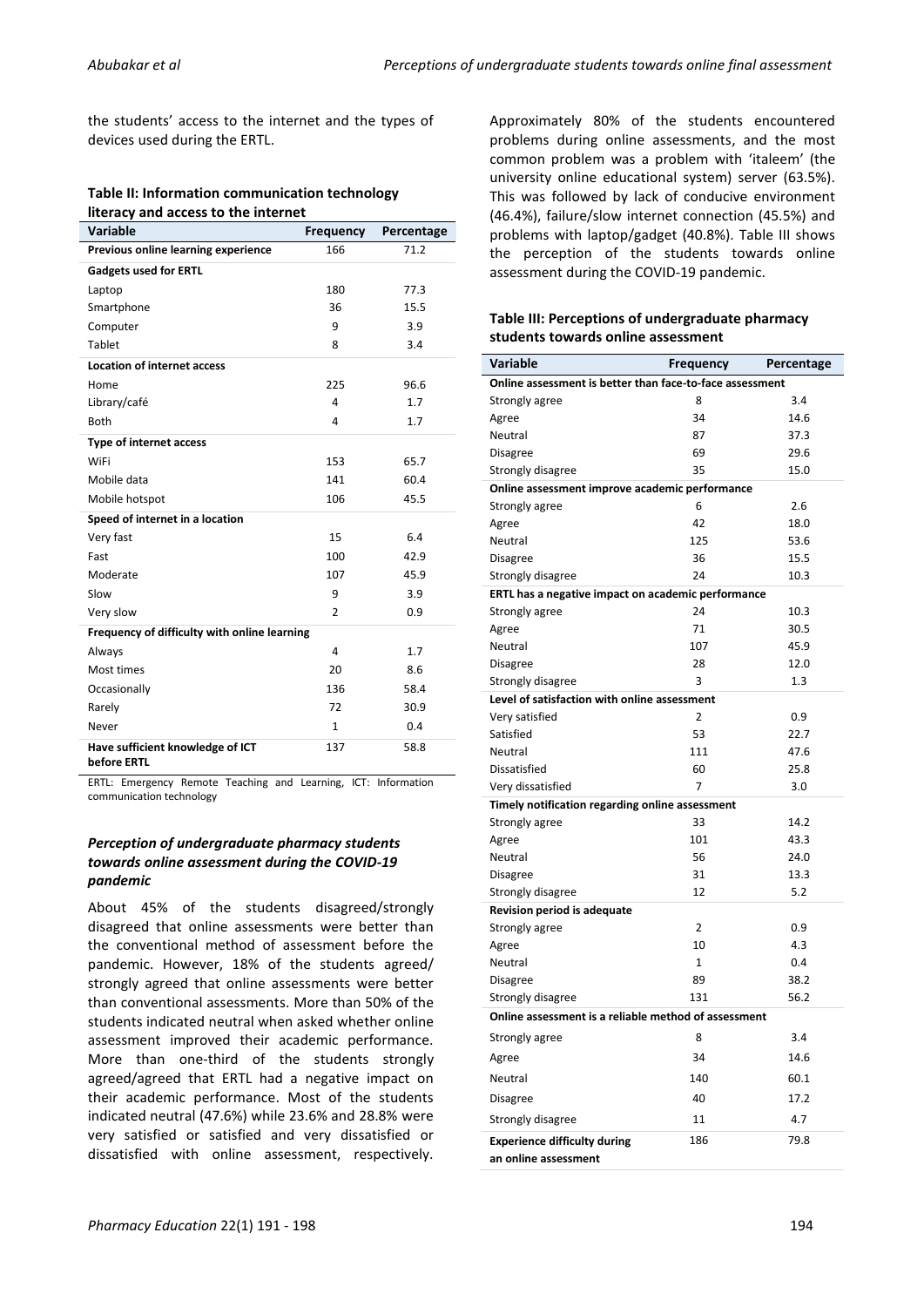the students' access to the internet and the types of devices used during the ERTL.

#### **Table II: Information communication technology literacy and access to the internet**

| <b>Variable</b>                                 | Frequency      | Percentage |
|-------------------------------------------------|----------------|------------|
| Previous online learning experience             | 166            | 71.2       |
| <b>Gadgets used for ERTL</b>                    |                |            |
| Laptop                                          | 180            | 77.3       |
| Smartphone                                      | 36             | 15.5       |
| Computer                                        | 9              | 3.9        |
| Tablet                                          | 8              | 3.4        |
| <b>Location of internet access</b>              |                |            |
| Home                                            | 225            | 96.6       |
| Library/café                                    | 4              | 1.7        |
| <b>Both</b>                                     | $\overline{4}$ | 1.7        |
| <b>Type of internet access</b>                  |                |            |
| WiFi                                            | 153            | 65.7       |
| Mobile data                                     | 141            | 60.4       |
| Mobile hotspot                                  | 106            | 45.5       |
| Speed of internet in a location                 |                |            |
| Very fast                                       | 15             | 6.4        |
| Fast                                            | 100            | 42.9       |
| Moderate                                        | 107            | 45.9       |
| Slow                                            | 9              | 3.9        |
| Very slow                                       | $\overline{2}$ | 0.9        |
| Frequency of difficulty with online learning    |                |            |
| Always                                          | $\overline{4}$ | 1.7        |
| Most times                                      | 20             | 8.6        |
| Occasionally                                    | 136            | 58.4       |
| Rarely                                          | 72             | 30.9       |
| Never                                           | 1              | 0.4        |
| Have sufficient knowledge of ICT<br>before ERTL | 137            | 58.8       |

ERTL: Emergency Remote Teaching and Learning, ICT: Information communication technology

# *Perception of undergraduate pharmacy students towards online assessment during the COVID-19 pandemic*

About 45% of the students disagreed/strongly disagreed that online assessments were better than the conventional method of assessment before the pandemic. However, 18% of the students agreed/ strongly agreed that online assessments were better than conventional assessments. More than 50% of the students indicated neutral when asked whether online assessment improved their academic performance. More than one-third of the students strongly agreed/agreed that ERTL had a negative impact on their academic performance. Most of the students indicated neutral (47.6%) while 23.6% and 28.8% were very satisfied or satisfied and very dissatisfied or dissatisfied with online assessment, respectively.

Approximately 80% of the students encountered problems during online assessments, and the most common problem was a problem with 'italeem' (the university online educational system) server (63.5%). This was followed by lack of conducive environment (46.4%), failure/slow internet connection (45.5%) and problems with laptop/gadget (40.8%). Table III shows the perception of the students towards online assessment during the COVID-19 pandemic.

# **Table III: Perceptions of undergraduate pharmacy students towards online assessment**

| Variable                                                 | <b>Frequency</b> | Percentage |
|----------------------------------------------------------|------------------|------------|
| Online assessment is better than face-to-face assessment |                  |            |
| Strongly agree                                           | 8                | 3.4        |
| Agree                                                    | 34               | 14.6       |
| Neutral                                                  | 87               | 37.3       |
| Disagree                                                 | 69               | 29.6       |
| Strongly disagree                                        | 35               | 15.0       |
| Online assessment improve academic performance           |                  |            |
| Strongly agree                                           | 6                | 2.6        |
| Agree                                                    | 42               | 18.0       |
| Neutral                                                  | 125              | 53.6       |
| Disagree                                                 | 36               | 15.5       |
| Strongly disagree                                        | 24               | 10.3       |
| ERTL has a negative impact on academic performance       |                  |            |
| Strongly agree                                           | 24               | 10.3       |
| Agree                                                    | 71               | 30.5       |
| Neutral                                                  | 107              | 45.9       |
| Disagree                                                 | 28               | 12.0       |
| Strongly disagree                                        | 3                | 1.3        |
| Level of satisfaction with online assessment             |                  |            |
| Very satisfied                                           | 2                | 0.9        |
| Satisfied                                                | 53               | 22.7       |
| Neutral                                                  | 111              | 47.6       |
| Dissatisfied                                             | 60               | 25.8       |
| Very dissatisfied                                        | 7                | 3.0        |
| Timely notification regarding online assessment          |                  |            |
| Strongly agree                                           | 33               | 14.2       |
| Agree                                                    | 101              | 43.3       |
| Neutral                                                  | 56               | 24.0       |
| Disagree                                                 | 31               | 13.3       |
| Strongly disagree                                        | 12               | 5.2        |
| <b>Revision period is adequate</b>                       |                  |            |
| Strongly agree                                           | $\overline{2}$   | 0.9        |
| Agree                                                    | 10               | 4.3        |
| Neutral                                                  | 1                | 0.4        |
| Disagree                                                 | 89               | 38.2       |
| Strongly disagree                                        | 131              | 56.2       |
| Online assessment is a reliable method of assessment     |                  |            |
| Strongly agree                                           | 8                | 3.4        |
| Agree                                                    | 34               | 14.6       |
| Neutral                                                  | 140              | 60.1       |
| Disagree                                                 | 40               | 17.2       |
| Strongly disagree                                        | 11               | 4.7        |
| <b>Experience difficulty during</b>                      | 186              | 79.8       |
| an online assessment                                     |                  |            |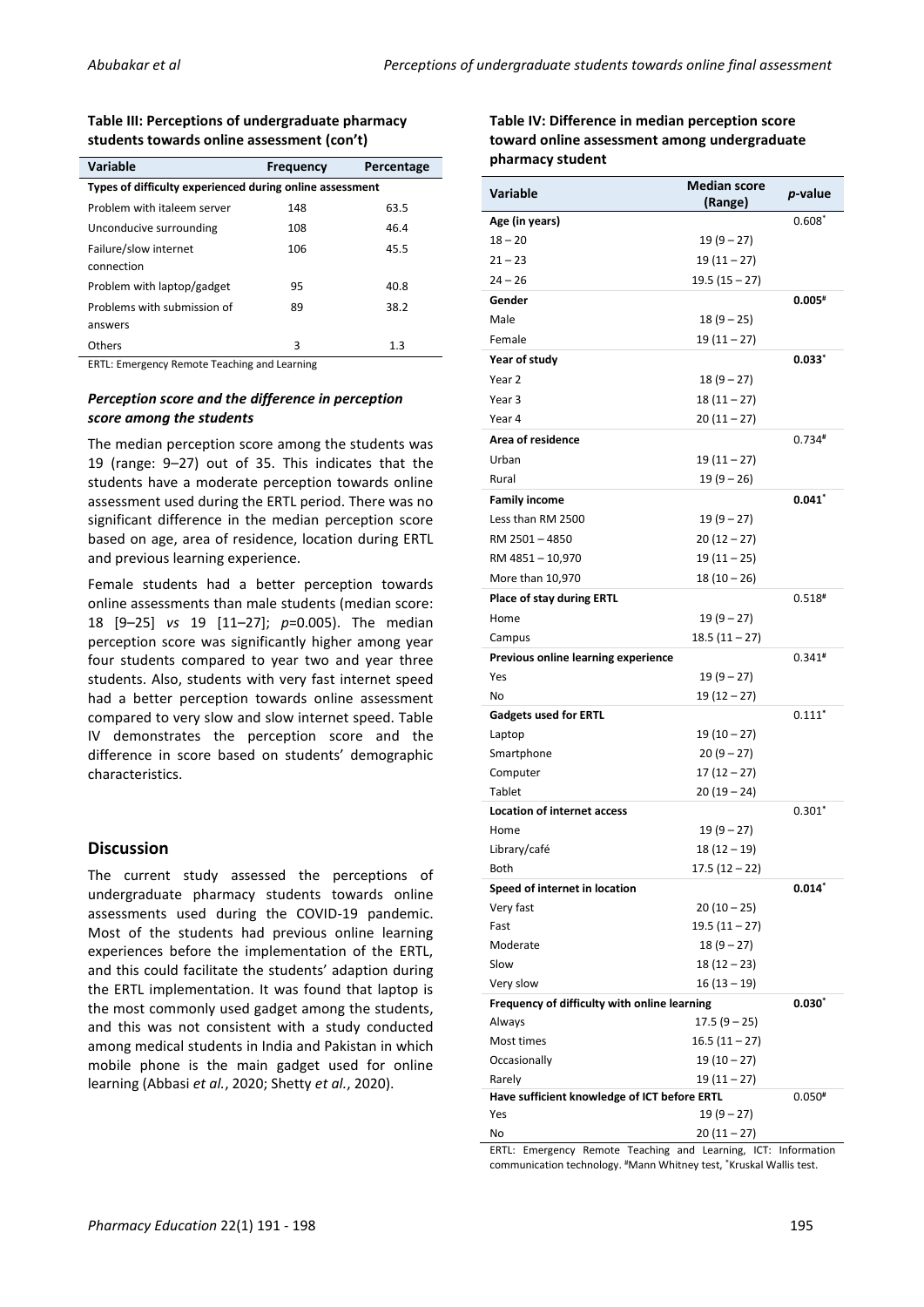### **Table III: Perceptions of undergraduate pharmacy students towards online assessment (con't)**

| <b>Variable</b>                                          | <b>Frequency</b> | Percentage |
|----------------------------------------------------------|------------------|------------|
| Types of difficulty experienced during online assessment |                  |            |
| Problem with italeem server                              | 148              | 63.5       |
| Unconducive surrounding                                  | 108              | 46.4       |
| Failure/slow internet                                    | 106              | 45.5       |
| connection                                               |                  |            |
| Problem with laptop/gadget                               | 95               | 40.8       |
| Problems with submission of                              | 89               | 38.2       |
| answers                                                  |                  |            |
| Others                                                   | 3                | 1.3        |

ERTL: Emergency Remote Teaching and Learning

# *Perception score and the difference in perception score among the students*

The median perception score among the students was 19 (range: 9–27) out of 35. This indicates that the students have a moderate perception towards online assessment used during the ERTL period. There was no significant difference in the median perception score based on age, area of residence, location during ERTL and previous learning experience.

Female students had a better perception towards online assessments than male students (median score: 18 [9–25] *vs* 19 [11–27]; *p*=0.005). The median perception score was significantly higher among year four students compared to year two and year three students. Also, students with very fast internet speed had a better perception towards online assessment compared to very slow and slow internet speed. Table IV demonstrates the perception score and the difference in score based on students' demographic characteristics.

# **Discussion**

The current study assessed the perceptions of undergraduate pharmacy students towards online assessments used during the COVID-19 pandemic. Most of the students had previous online learning experiences before the implementation of the ERTL, and this could facilitate the students' adaption during the ERTL implementation. It was found that laptop is the most commonly used gadget among the students, and this was not consistent with a study conducted among medical students in India and Pakistan in which mobile phone is the main gadget used for online learning (Abbasi *et al.*, 2020; Shetty *et al.*, 2020).

| Table IV: Difference in median perception score |  |
|-------------------------------------------------|--|
| toward online assessment among undergraduate    |  |
| pharmacy student                                |  |

| <b>Variable</b>                              | <b>Median score</b> | p-value      |
|----------------------------------------------|---------------------|--------------|
| Age (in years)                               | (Range)             | $0.608*$     |
| $18 - 20$                                    | $19(9-27)$          |              |
| $21 - 23$                                    |                     |              |
| $24 - 26$                                    | 19 (11 – 27)        |              |
|                                              | 19.5 (15 – 27)      | $0.005*$     |
| Gender                                       |                     |              |
| Male                                         | $18(9-25)$          |              |
| Female                                       | 19 (11 – 27)        |              |
| Year of study                                |                     | 0.033"       |
| Year 2                                       | $18(9-27)$          |              |
| Year <sub>3</sub>                            | $18(11-27)$         |              |
| Year 4                                       | 20 (11 – 27)        |              |
| Area of residence                            |                     | $0.734*$     |
| Urban                                        | 19 (11 – 27)        |              |
| Rural                                        | $19(9-26)$          |              |
| <b>Family income</b>                         |                     | 0.041"       |
| Less than RM 2500                            | $19(9-27)$          |              |
| RM 2501-4850                                 | 20 (12 – 27)        |              |
| RM 4851-10,970                               | 19 (11 – 25)        |              |
| More than 10,970                             | $18(10-26)$         |              |
| Place of stay during ERTL                    |                     | $0.518*$     |
| Home                                         | $19(9-27)$          |              |
| Campus                                       | 18.5 (11 – 27)      |              |
| Previous online learning experience          |                     | $0.341*$     |
| Yes                                          | $19(9-27)$          |              |
| No                                           | 19 (12 – 27)        |              |
| <b>Gadgets used for ERTL</b>                 |                     | $0.111*$     |
| Laptop                                       | 19 (10 – 27)        |              |
| Smartphone                                   | $20(9-27)$          |              |
| Computer                                     | 17 (12 – 27)        |              |
| Tablet                                       | $20(19 - 24)$       |              |
| <b>Location of internet access</b>           |                     | $0.301*$     |
| Home                                         | $19(9-27)$          |              |
| Library/café                                 | 18 (12 – 19)        |              |
| Both                                         | 17.5 (12 – 22)      |              |
| Speed of internet in location                |                     | $0.014*$     |
| Very fast                                    | $20(10-25)$         |              |
| Fast                                         | $19.5(11-27)$       |              |
| Moderate                                     | $18(9-27)$          |              |
| Slow                                         | $18(12-23)$         |              |
| Very slow                                    | $16(13-19)$         |              |
| Frequency of difficulty with online learning |                     | $0.030^\ast$ |
| Always                                       | $17.5(9 - 25)$      |              |
| Most times                                   | $16.5(11 - 27)$     |              |
| Occasionally                                 | $19(10-27)$         |              |
| Rarely                                       | $19(11-27)$         |              |
| Have sufficient knowledge of ICT before ERTL |                     | $0.050*$     |
| Yes                                          | $19(9-27)$          |              |
| No                                           | $20(11-27)$         |              |

ERTL: Emergency Remote Teaching and Learning, ICT: Information communication technology. #Mann Whitney test, \*Kruskal Wallis test.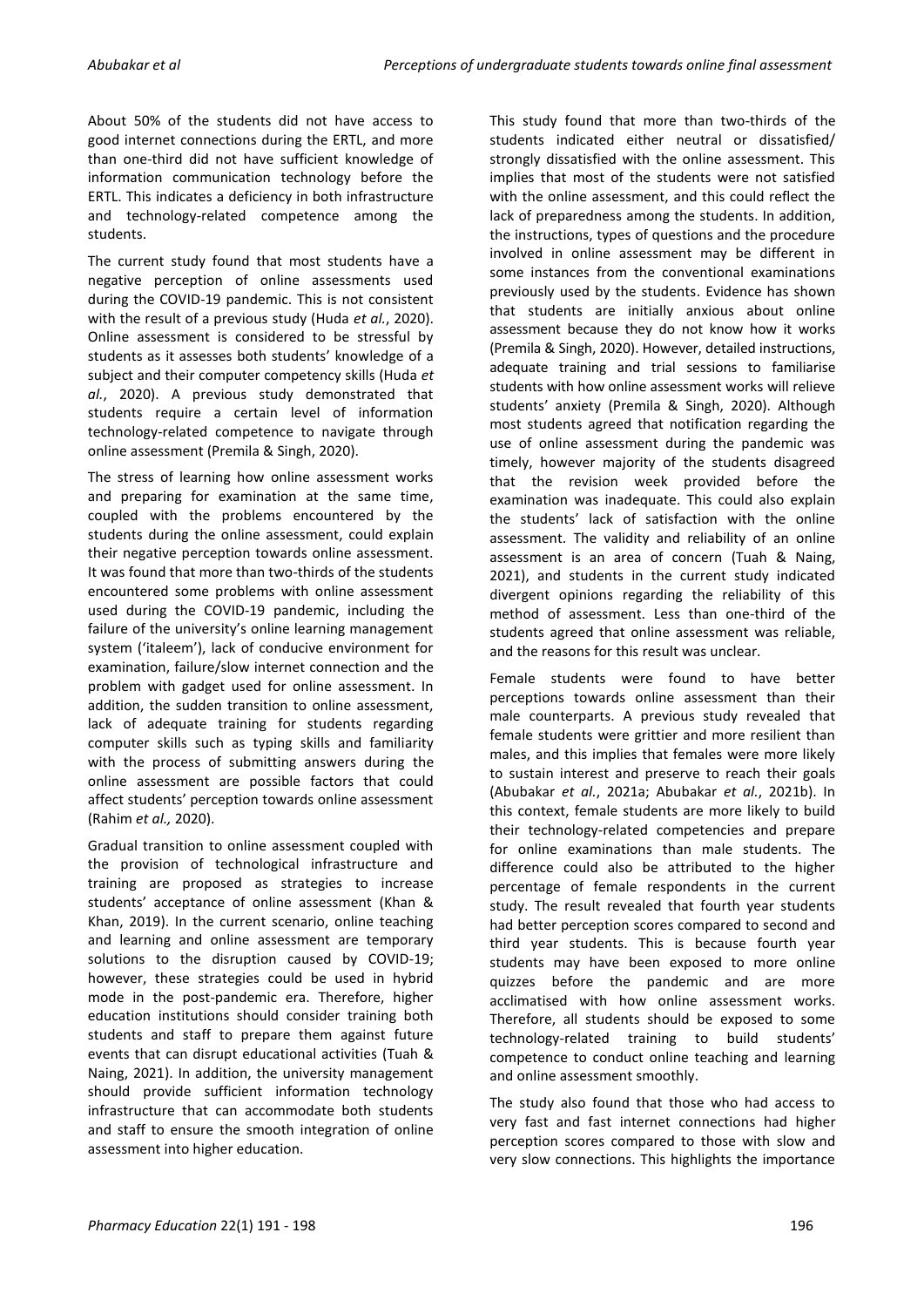About 50% of the students did not have access to good internet connections during the ERTL, and more than one-third did not have sufficient knowledge of information communication technology before the ERTL. This indicates a deficiency in both infrastructure and technology-related competence among the students.

The current study found that most students have a negative perception of online assessments used during the COVID-19 pandemic. This is not consistent with the result of a previous study (Huda *et al.*, 2020). Online assessment is considered to be stressful by students as it assesses both students' knowledge of a subject and their computer competency skills (Huda *et al.*, 2020). A previous study demonstrated that students require a certain level of information technology-related competence to navigate through online assessment (Premila & Singh, 2020).

The stress of learning how online assessment works and preparing for examination at the same time, coupled with the problems encountered by the students during the online assessment, could explain their negative perception towards online assessment. It was found that more than two-thirds of the students encountered some problems with online assessment used during the COVID-19 pandemic, including the failure of the university's online learning management system ('italeem'), lack of conducive environment for examination, failure/slow internet connection and the problem with gadget used for online assessment. In addition, the sudden transition to online assessment, lack of adequate training for students regarding computer skills such as typing skills and familiarity with the process of submitting answers during the online assessment are possible factors that could affect students' perception towards online assessment (Rahim *et al.,* 2020).

Gradual transition to online assessment coupled with the provision of technological infrastructure and training are proposed as strategies to increase students' acceptance of online assessment (Khan & Khan, 2019). In the current scenario, online teaching and learning and online assessment are temporary solutions to the disruption caused by COVID-19; however, these strategies could be used in hybrid mode in the post-pandemic era. Therefore, higher education institutions should consider training both students and staff to prepare them against future events that can disrupt educational activities (Tuah & Naing, 2021). In addition, the university management should provide sufficient information technology infrastructure that can accommodate both students and staff to ensure the smooth integration of online assessment into higher education.

This study found that more than two-thirds of the students indicated either neutral or dissatisfied/ strongly dissatisfied with the online assessment. This implies that most of the students were not satisfied with the online assessment, and this could reflect the lack of preparedness among the students. In addition, the instructions, types of questions and the procedure involved in online assessment may be different in some instances from the conventional examinations previously used by the students. Evidence has shown that students are initially anxious about online assessment because they do not know how it works (Premila & Singh, 2020). However, detailed instructions, adequate training and trial sessions to familiarise students with how online assessment works will relieve students' anxiety (Premila & Singh, 2020). Although most students agreed that notification regarding the use of online assessment during the pandemic was timely, however majority of the students disagreed that the revision week provided before the examination was inadequate. This could also explain the students' lack of satisfaction with the online assessment. The validity and reliability of an online assessment is an area of concern (Tuah & Naing, 2021), and students in the current study indicated divergent opinions regarding the reliability of this method of assessment. Less than one-third of the students agreed that online assessment was reliable, and the reasons for this result was unclear.

Female students were found to have better perceptions towards online assessment than their male counterparts. A previous study revealed that female students were grittier and more resilient than males, and this implies that females were more likely to sustain interest and preserve to reach their goals (Abubakar *et al.*, 2021a; Abubakar *et al.*, 2021b). In this context, female students are more likely to build their technology-related competencies and prepare for online examinations than male students. The difference could also be attributed to the higher percentage of female respondents in the current study. The result revealed that fourth year students had better perception scores compared to second and third year students. This is because fourth year students may have been exposed to more online quizzes before the pandemic and are more acclimatised with how online assessment works. Therefore, all students should be exposed to some technology-related training to build students' competence to conduct online teaching and learning and online assessment smoothly.

The study also found that those who had access to very fast and fast internet connections had higher perception scores compared to those with slow and very slow connections. This highlights the importance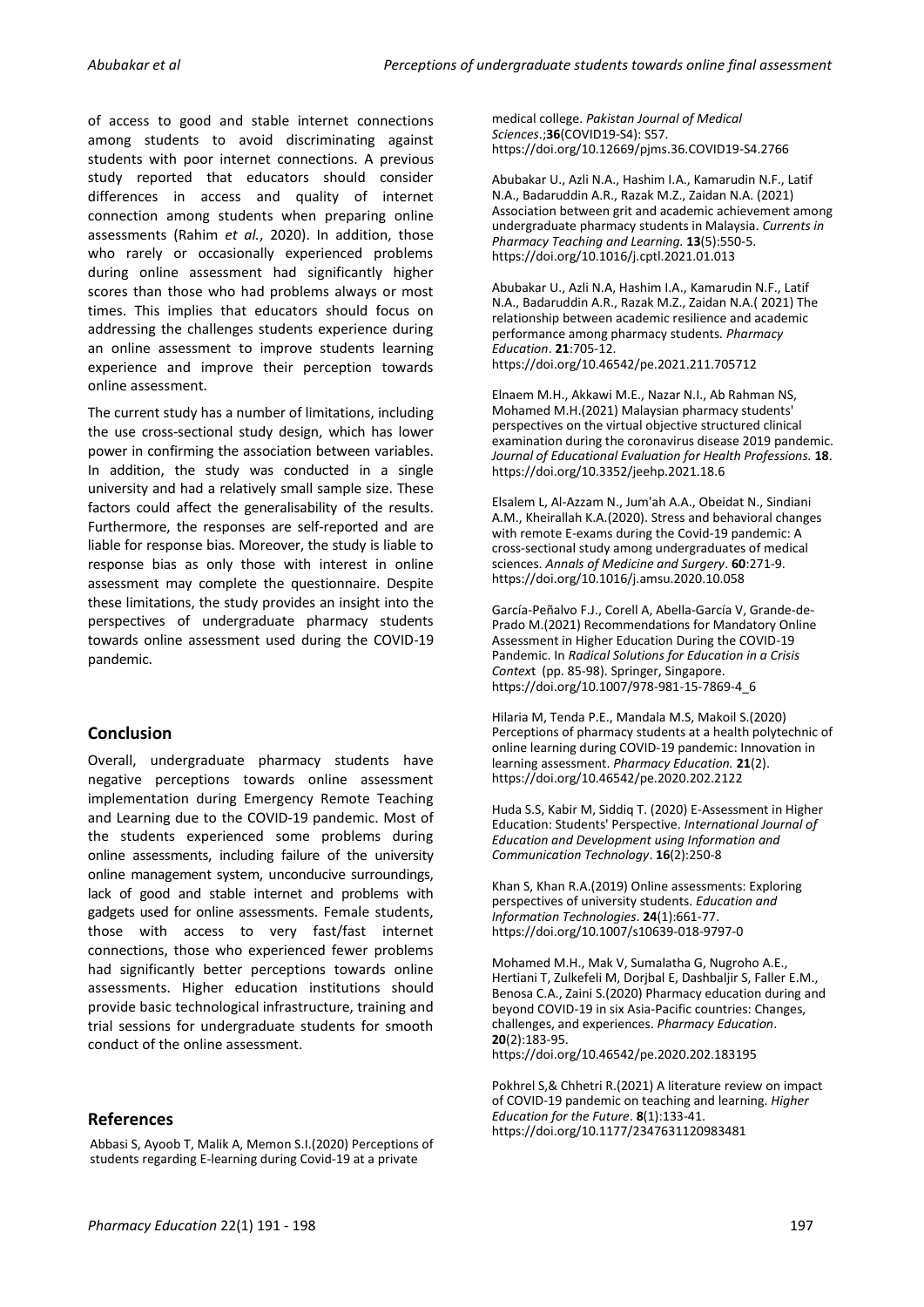of access to good and stable internet connections among students to avoid discriminating against students with poor internet connections. A previous study reported that educators should consider differences in access and quality of internet connection among students when preparing online assessments (Rahim *et al.*, 2020). In addition, those who rarely or occasionally experienced problems during online assessment had significantly higher scores than those who had problems always or most times. This implies that educators should focus on addressing the challenges students experience during an online assessment to improve students learning experience and improve their perception towards online assessment.

The current study has a number of limitations, including the use cross-sectional study design, which has lower power in confirming the association between variables. In addition, the study was conducted in a single university and had a relatively small sample size. These factors could affect the generalisability of the results. Furthermore, the responses are self-reported and are liable for response bias. Moreover, the study is liable to response bias as only those with interest in online assessment may complete the questionnaire. Despite these limitations, the study provides an insight into the perspectives of undergraduate pharmacy students towards online assessment used during the COVID-19 pandemic.

# **Conclusion**

Overall, undergraduate pharmacy students have negative perceptions towards online assessment implementation during Emergency Remote Teaching and Learning due to the COVID-19 pandemic. Most of the students experienced some problems during online assessments, including failure of the university online management system, unconducive surroundings, lack of good and stable internet and problems with gadgets used for online assessments. Female students, those with access to very fast/fast internet connections, those who experienced fewer problems had significantly better perceptions towards online assessments. Higher education institutions should provide basic technological infrastructure, training and trial sessions for undergraduate students for smooth conduct of the online assessment.

# **References**

Abbasi S, Ayoob T, Malik A, Memon S.I.(2020) Perceptions of students regarding E-learning during Covid-19 at a private

medical college. *Pakistan Journal of Medical Sciences*.;**36**(COVID19-S4): S57. <https://doi.org/10.12669/pjms.36.COVID19-S4.2766>

Abubakar U., Azli N.A., Hashim I.A., Kamarudin N.F., Latif N.A., Badaruddin A.R., Razak M.Z., Zaidan N.A. (2021) Association between grit and academic achievement among undergraduate pharmacy students in Malaysia. *Currents in Pharmacy Teaching and Learning.* **13**(5):550-5. <https://doi.org/10.1016/j.cptl.2021.01.013>

Abubakar U., Azli N.A, Hashim I.A., Kamarudin N.F., Latif N.A., Badaruddin A.R., Razak M.Z., Zaidan N.A.( 2021) The relationship between academic resilience and academic performance among pharmacy students*. Pharmacy Education*. **21**:705-12. <https://doi.org/10.46542/pe.2021.211.705712>

Elnaem M.H., Akkawi M.E., Nazar N.I., Ab Rahman NS, Mohamed M.H.(2021) Malaysian pharmacy students' perspectives on the virtual objective structured clinical examination during the coronavirus disease 2019 pandemic. *Journal of Educational Evaluation for Health Professions.* **18**. https://doi.org/10.3352/jeehp.2021.18.6

Elsalem L, Al-Azzam N., Jum'ah A.A., Obeidat N., Sindiani A.M., Kheirallah K.A.(2020). Stress and behavioral changes with remote E-exams during the Covid-19 pandemic: A cross-sectional study among undergraduates of medical sciences. *Annals of Medicine and Surgery*. **60**:271-9. <https://doi.org/10.1016/j.amsu.2020.10.058>

García-Peñalvo F.J., Corell A, Abella-García V, Grande-de-Prado M.(2021) Recommendations for Mandatory Online Assessment in Higher Education During the COVID-19 Pandemic. In *Radical Solutions for Education in a Crisis Contex*t (pp. 85-98). Springer, Singapore. [https://doi.org/10.1007/978-981-15-7869-4\\_6](https://doi.org/10.1007/978-981-15-7869-4_6)

Hilaria M, Tenda P.E., Mandala M.S, Makoil S.(2020) Perceptions of pharmacy students at a health polytechnic of online learning during COVID-19 pandemic: Innovation in learning assessment. *Pharmacy Education.* **21**(2). <https://doi.org/10.46542/pe.2020.202.2122>

Huda S.S, Kabir M, Siddiq T. (2020) E-Assessment in Higher Education: Students' Perspective. *International Journal of Education and Development using Information and Communication Technology*. **16**(2):250-8

Khan S, Khan R.A.(2019) Online assessments: Exploring perspectives of university students. *Education and Information Technologies*. **24**(1):661-77. <https://doi.org/10.1007/s10639-018-9797-0>

Mohamed M.H., Mak V, Sumalatha G, Nugroho A.E., Hertiani T, Zulkefeli M, Dorjbal E, Dashbaljir S, Faller E.M., Benosa C.A., Zaini S.(2020) Pharmacy education during and beyond COVID-19 in six Asia-Pacific countries: Changes, challenges, and experiences. *Pharmacy Education*. **20**(2):183-95.

<https://doi.org/10.46542/pe.2020.202.183195>

Pokhrel S,& Chhetri R.(2021) A literature review on impact of COVID-19 pandemic on teaching and learning. *Higher Education for the Future*. **8**(1):133-41. <https://doi.org/10.1177/2347631120983481>